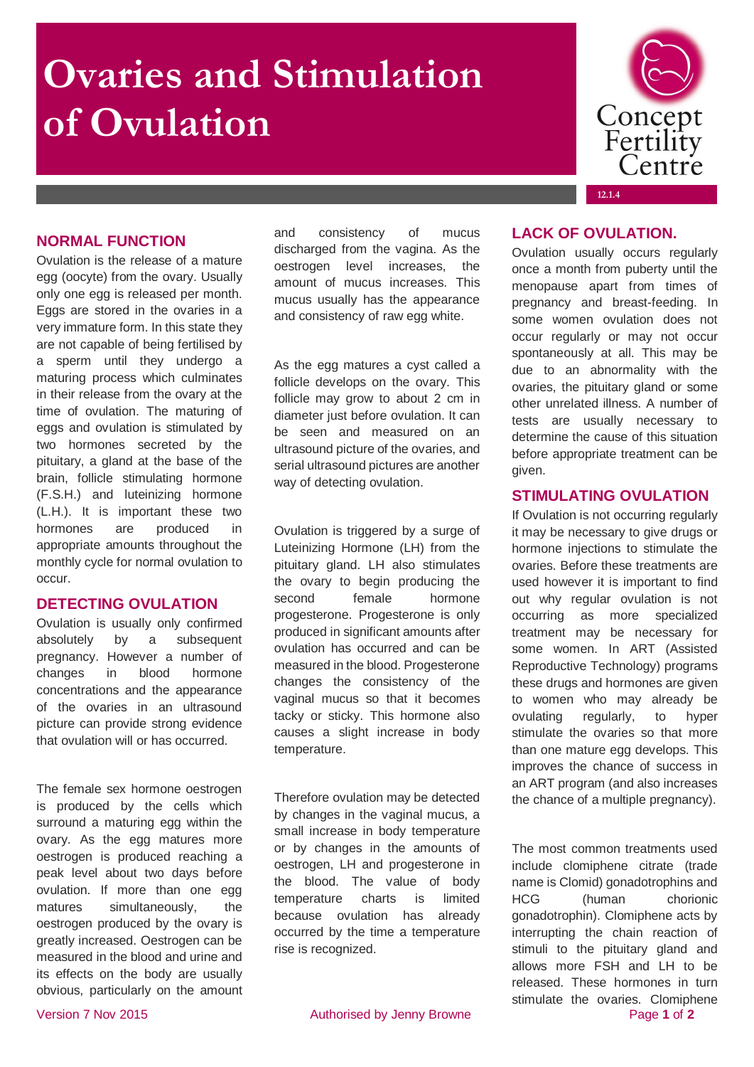# **Ovaries and Stimulation of Ovulation**



#### **NORMAL FUNCTION**

Ovulation is the release of a mature egg (oocyte) from the ovary. Usually only one egg is released per month. Eggs are stored in the ovaries in a very immature form. In this state they are not capable of being fertilised by a sperm until they undergo a maturing process which culminates in their release from the ovary at the time of ovulation. The maturing of eggs and ovulation is stimulated by two hormones secreted by the pituitary, a gland at the base of the brain, follicle stimulating hormone (F.S.H.) and luteinizing hormone (L.H.). It is important these two hormones are produced in appropriate amounts throughout the monthly cycle for normal ovulation to occur.

## **DETECTING OVULATION**

Ovulation is usually only confirmed absolutely by a subsequent pregnancy. However a number of changes in blood hormone concentrations and the appearance of the ovaries in an ultrasound picture can provide strong evidence that ovulation will or has occurred.

The female sex hormone oestrogen is produced by the cells which surround a maturing egg within the ovary. As the egg matures more oestrogen is produced reaching a peak level about two days before ovulation. If more than one egg matures simultaneously, the oestrogen produced by the ovary is greatly increased. Oestrogen can be measured in the blood and urine and its effects on the body are usually obvious, particularly on the amount and consistency of mucus discharged from the vagina. As the oestrogen level increases, the amount of mucus increases. This mucus usually has the appearance and consistency of raw egg white.

As the egg matures a cyst called a follicle develops on the ovary. This follicle may grow to about 2 cm in diameter just before ovulation. It can be seen and measured on an ultrasound picture of the ovaries, and serial ultrasound pictures are another way of detecting ovulation.

Ovulation is triggered by a surge of Luteinizing Hormone (LH) from the pituitary gland. LH also stimulates the ovary to begin producing the second female hormone progesterone. Progesterone is only produced in significant amounts after ovulation has occurred and can be measured in the blood. Progesterone changes the consistency of the vaginal mucus so that it becomes tacky or sticky. This hormone also causes a slight increase in body temperature.

Therefore ovulation may be detected by changes in the vaginal mucus, a small increase in body temperature or by changes in the amounts of oestrogen, LH and progesterone in the blood. The value of body temperature charts is limited because ovulation has already occurred by the time a temperature rise is recognized.

#### **LACK OF OVULATION.**

Ovulation usually occurs regularly once a month from puberty until the menopause apart from times of pregnancy and breast-feeding. In some women ovulation does not occur regularly or may not occur spontaneously at all. This may be due to an abnormality with the ovaries, the pituitary gland or some other unrelated illness. A number of tests are usually necessary to determine the cause of this situation before appropriate treatment can be given.

## **STIMULATING OVULATION**

If Ovulation is not occurring regularly it may be necessary to give drugs or hormone injections to stimulate the ovaries. Before these treatments are used however it is important to find out why regular ovulation is not occurring as more specialized treatment may be necessary for some women. In ART (Assisted Reproductive Technology) programs these drugs and hormones are given to women who may already be ovulating regularly, to hyper stimulate the ovaries so that more than one mature egg develops. This improves the chance of success in an ART program (and also increases the chance of a multiple pregnancy).

Version 7 Nov 2015 Authorised by Jenny Browne Page **1** of **2** The most common treatments used include clomiphene citrate (trade name is Clomid) gonadotrophins and HCG (human chorionic gonadotrophin). Clomiphene acts by interrupting the chain reaction of stimuli to the pituitary gland and allows more FSH and LH to be released. These hormones in turn stimulate the ovaries. Clomiphene